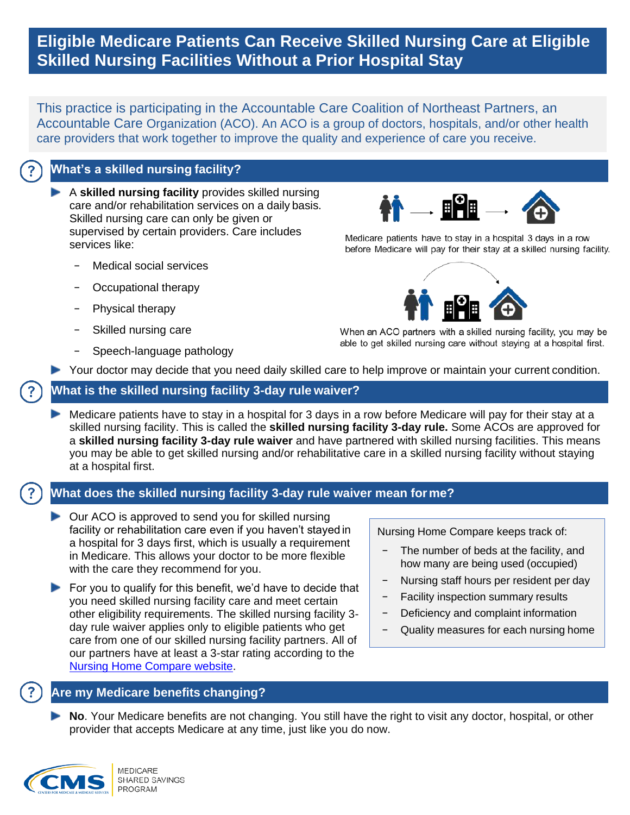# **Eligible Medicare Patients Can Receive Skilled Nursing Care at Eligible Skilled Nursing Facilities Without a Prior Hospital Stay**

This practice is participating in the Accountable Care Coalition of Northeast Partners, an Accountable Care Organization (ACO). An ACO is a group of doctors, hospitals, and/or other health care providers that work together to improve the quality and experience of care you receive.

## **What's a skilled nursing facility?**

 A **skilled nursing facility** provides skilled nursing care and/or rehabilitation services on a daily basis. Skilled nursing care can only be given or supervised by certain providers. Care includes services like:

- − Medical social services
- − Occupational therapy
- − Physical therapy
- Skilled nursing care
- − Speech-language pathology



Medicare patients have to stay in a hospital 3 days in a row before Medicare will pay for their stay at a skilled nursing facility.



When an ACO partners with a skilled nursing facility, you may be able to get skilled nursing care without staying at a hospital first.

Your doctor may decide that you need daily skilled care to help improve or maintain your current condition.

#### **What is the skilled nursing facility 3-day rule waiver?**

 Medicare patients have to stay in a hospital for 3 days in a row before Medicare will pay for their stay at a skilled nursing facility. This is called the **skilled nursing facility 3-day rule.** Some ACOs are approved for a **skilled nursing facility 3-day rule waiver** and have partnered with skilled nursing facilities. This means you may be able to get skilled nursing and/or rehabilitative care in a skilled nursing facility without staying at a hospital first.

## **What does the skilled nursing facility 3-day rule waiver mean forme?**

- ▶ Our ACO is approved to send you for skilled nursing facility or rehabilitation care even if you haven't stayed in a hospital for 3 days first, which is usually a requirement in Medicare. This allows your doctor to be more flexible with the care they recommend for you.
- $\blacktriangleright$  For you to qualify for this benefit, we'd have to decide that you need skilled nursing facility care and meet certain other eligibility requirements. The skilled nursing facility 3 day rule waiver applies only to eligible patients who get care from one of our skilled nursing facility partners. All of our partners have at least a 3-star rating according to the [Nursing Home Compare website.](https://www.medicare.gov/nursinghomecompare/search.html)

Nursing Home Compare keeps track of:

- − The number of beds at the facility, and how many are being used (occupied)
- − Nursing staff hours per resident per day
- Facility inspection summary results
- − Deficiency and complaint information
- − Quality measures for each nursing home

#### **Are my Medicare benefits changing?**

 **No**. Your Medicare benefits are not changing. You still have the right to visit any doctor, hospital, or other provider that accepts Medicare at any time, just like you do now.

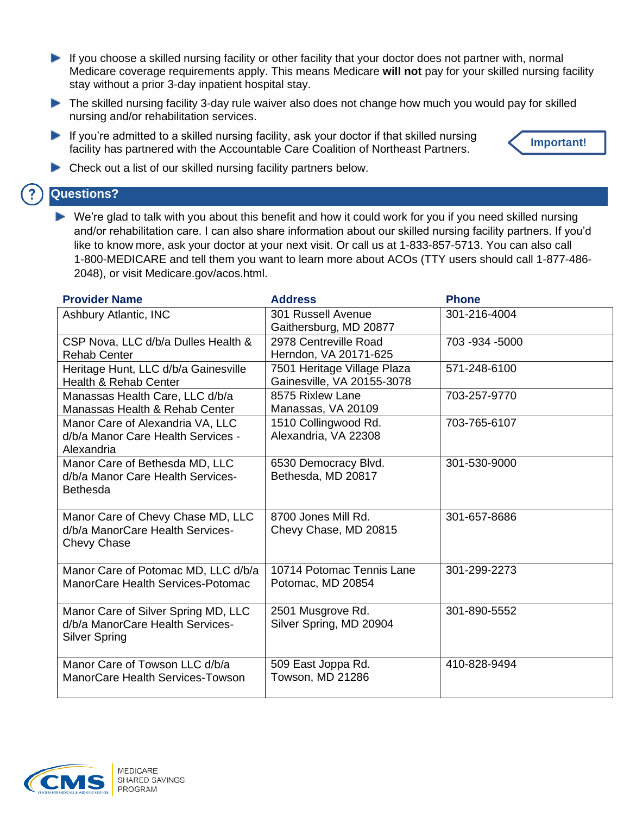- If you choose a skilled nursing facility or other facility that your doctor does not partner with, normal Medicare coverage requirements apply. This means Medicare **will not** pay for your skilled nursing facility stay without a prior 3-day inpatient hospital stay.
- The skilled nursing facility 3-day rule waiver also does not change how much you would pay for skilled nursing and/or rehabilitation services.
- If you're admitted to a skilled nursing facility, ask your doctor if that skilled nursing facility has partnered with the Accountable Care Coalition of Northeast Partners.



**Check out a list of our skilled nursing facility partners below.** 

## **Questions?**

 We're glad to talk with you about this benefit and how it could work for you if you need skilled nursing and/or rehabilitation care. I can also share information about our skilled nursing facility partners. If you'd like to know more, ask your doctor at your next visit. Or call us at 1-833-857-5713. You can also call 1-800-MEDICARE and tell them you want to learn more about ACOs (TTY users should call 1-877-486- 2048), or visit Medicare.gov/acos.html.

| <b>Provider Name</b>                                                                            | <b>Address</b>                                            | <b>Phone</b>     |
|-------------------------------------------------------------------------------------------------|-----------------------------------------------------------|------------------|
| Ashbury Atlantic, INC                                                                           | 301 Russell Avenue<br>Gaithersburg, MD 20877              | 301-216-4004     |
| CSP Nova, LLC d/b/a Dulles Health &<br><b>Rehab Center</b>                                      | 2978 Centreville Road<br>Herndon, VA 20171-625            | 703 - 934 - 5000 |
| Heritage Hunt, LLC d/b/a Gainesville<br>Health & Rehab Center                                   | 7501 Heritage Village Plaza<br>Gainesville, VA 20155-3078 | 571-248-6100     |
| Manassas Health Care, LLC d/b/a<br>Manassas Health & Rehab Center                               | 8575 Rixlew Lane<br>Manassas, VA 20109                    | 703-257-9770     |
| Manor Care of Alexandria VA, LLC<br>d/b/a Manor Care Health Services -<br>Alexandria            | 1510 Collingwood Rd.<br>Alexandria, VA 22308              | 703-765-6107     |
| Manor Care of Bethesda MD, LLC<br>d/b/a Manor Care Health Services-<br><b>Bethesda</b>          | 6530 Democracy Blvd.<br>Bethesda, MD 20817                | 301-530-9000     |
| Manor Care of Chevy Chase MD, LLC<br>d/b/a ManorCare Health Services-<br><b>Chevy Chase</b>     | 8700 Jones Mill Rd.<br>Chevy Chase, MD 20815              | 301-657-8686     |
| Manor Care of Potomac MD, LLC d/b/a<br>ManorCare Health Services-Potomac                        | 10714 Potomac Tennis Lane<br>Potomac, MD 20854            | 301-299-2273     |
| Manor Care of Silver Spring MD, LLC<br>d/b/a ManorCare Health Services-<br><b>Silver Spring</b> | 2501 Musgrove Rd.<br>Silver Spring, MD 20904              | 301-890-5552     |
| Manor Care of Towson LLC d/b/a<br>ManorCare Health Services-Towson                              | 509 East Joppa Rd.<br>Towson, MD 21286                    | 410-828-9494     |